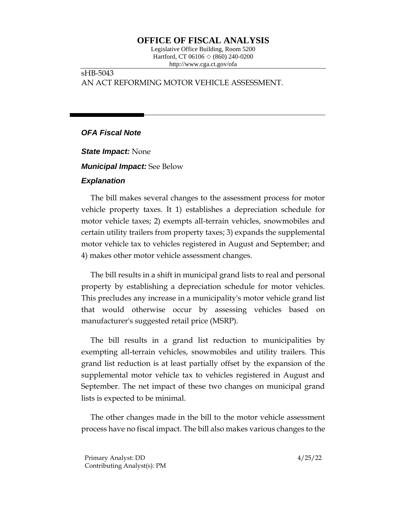# **OFFICE OF FISCAL ANALYSIS**

Legislative Office Building, Room 5200 Hartford, CT 06106  $\Diamond$  (860) 240-0200 http://www.cga.ct.gov/ofa

## sHB-5043 AN ACT REFORMING MOTOR VEHICLE ASSESSMENT.

## *OFA Fiscal Note*

*State Impact:* None *Municipal Impact:* See Below

#### *Explanation*

The bill makes several changes to the assessment process for motor vehicle property taxes. It 1) establishes a depreciation schedule for motor vehicle taxes; 2) exempts all-terrain vehicles, snowmobiles and certain utility trailers from property taxes; 3) expands the supplemental motor vehicle tax to vehicles registered in August and September; and 4) makes other motor vehicle assessment changes.

The bill results in a shift in municipal grand lists to real and personal property by establishing a depreciation schedule for motor vehicles. This precludes any increase in a municipality's motor vehicle grand list that would otherwise occur by assessing vehicles based on manufacturer's suggested retail price (MSRP).

The bill results in a grand list reduction to municipalities by exempting all-terrain vehicles, snowmobiles and utility trailers. This grand list reduction is at least partially offset by the expansion of the supplemental motor vehicle tax to vehicles registered in August and September. The net impact of these two changes on municipal grand lists is expected to be minimal.

The other changes made in the bill to the motor vehicle assessment process have no fiscal impact. The bill also makes various changes to the